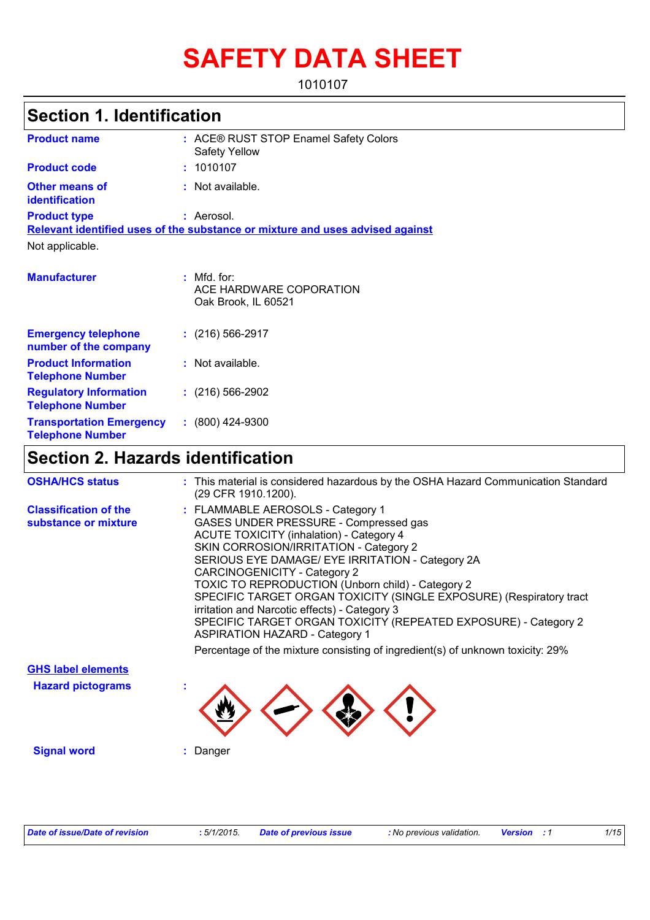# **SAFETY DATA SHEET**

1010107

# **Section 1. Identification**

| <b>Product name</b>                                        | : ACE® RUST STOP Enamel Safety Colors<br><b>Safety Yellow</b>                 |
|------------------------------------------------------------|-------------------------------------------------------------------------------|
| <b>Product code</b>                                        | : 1010107                                                                     |
| <b>Other means of</b><br>identification                    | : Not available.                                                              |
| <b>Product type</b>                                        | : Aerosol.                                                                    |
|                                                            | Relevant identified uses of the substance or mixture and uses advised against |
| Not applicable.                                            |                                                                               |
| <b>Manufacturer</b>                                        | $:$ Mfd. for:<br>ACE HARDWARE COPORATION<br>Oak Brook, IL 60521               |
| <b>Emergency telephone</b><br>number of the company        | $: (216) 566 - 2917$                                                          |
| <b>Product Information</b><br><b>Telephone Number</b>      | : Not available.                                                              |
| <b>Regulatory Information</b><br><b>Telephone Number</b>   | $: (216) 566-2902$                                                            |
| <b>Transportation Emergency</b><br><b>Telephone Number</b> | $: (800)$ 424-9300                                                            |

# **Section 2. Hazards identification**

| <b>OSHA/HCS status</b>                               | : This material is considered hazardous by the OSHA Hazard Communication Standard<br>(29 CFR 1910.1200).                                                                                                                                                                                                                                                                                                                                                                                                                                                    |
|------------------------------------------------------|-------------------------------------------------------------------------------------------------------------------------------------------------------------------------------------------------------------------------------------------------------------------------------------------------------------------------------------------------------------------------------------------------------------------------------------------------------------------------------------------------------------------------------------------------------------|
| <b>Classification of the</b><br>substance or mixture | : FLAMMABLE AEROSOLS - Category 1<br>GASES UNDER PRESSURE - Compressed gas<br><b>ACUTE TOXICITY (inhalation) - Category 4</b><br>SKIN CORROSION/IRRITATION - Category 2<br>SERIOUS EYE DAMAGE/ EYE IRRITATION - Category 2A<br>CARCINOGENICITY - Category 2<br><b>TOXIC TO REPRODUCTION (Unborn child) - Category 2</b><br>SPECIFIC TARGET ORGAN TOXICITY (SINGLE EXPOSURE) (Respiratory tract<br>irritation and Narcotic effects) - Category 3<br>SPECIFIC TARGET ORGAN TOXICITY (REPEATED EXPOSURE) - Category 2<br><b>ASPIRATION HAZARD - Category 1</b> |
|                                                      | Percentage of the mixture consisting of ingredient(s) of unknown toxicity: 29%                                                                                                                                                                                                                                                                                                                                                                                                                                                                              |
| <b>GHS label elements</b>                            |                                                                                                                                                                                                                                                                                                                                                                                                                                                                                                                                                             |
| <b>Hazard pictograms</b>                             |                                                                                                                                                                                                                                                                                                                                                                                                                                                                                                                                                             |
| <b>Signal word</b>                                   | Danger                                                                                                                                                                                                                                                                                                                                                                                                                                                                                                                                                      |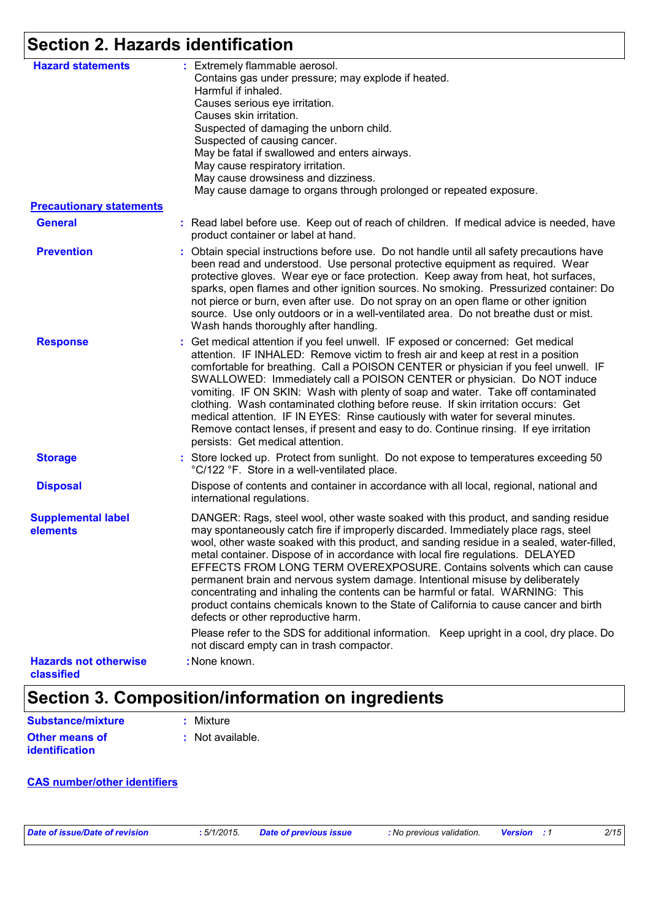# **Section 2. Hazards identification**

| <b>Hazard statements</b>                   | : Extremely flammable aerosol.<br>Contains gas under pressure; may explode if heated.<br>Harmful if inhaled.<br>Causes serious eye irritation.<br>Causes skin irritation.<br>Suspected of damaging the unborn child.<br>Suspected of causing cancer.<br>May be fatal if swallowed and enters airways.<br>May cause respiratory irritation.<br>May cause drowsiness and dizziness.<br>May cause damage to organs through prolonged or repeated exposure.                                                                                                                                                                                                                                                                                 |
|--------------------------------------------|-----------------------------------------------------------------------------------------------------------------------------------------------------------------------------------------------------------------------------------------------------------------------------------------------------------------------------------------------------------------------------------------------------------------------------------------------------------------------------------------------------------------------------------------------------------------------------------------------------------------------------------------------------------------------------------------------------------------------------------------|
| <b>Precautionary statements</b>            |                                                                                                                                                                                                                                                                                                                                                                                                                                                                                                                                                                                                                                                                                                                                         |
| <b>General</b>                             | : Read label before use. Keep out of reach of children. If medical advice is needed, have<br>product container or label at hand.                                                                                                                                                                                                                                                                                                                                                                                                                                                                                                                                                                                                        |
| <b>Prevention</b>                          | : Obtain special instructions before use. Do not handle until all safety precautions have<br>been read and understood. Use personal protective equipment as required. Wear<br>protective gloves. Wear eye or face protection. Keep away from heat, hot surfaces,<br>sparks, open flames and other ignition sources. No smoking. Pressurized container: Do<br>not pierce or burn, even after use. Do not spray on an open flame or other ignition<br>source. Use only outdoors or in a well-ventilated area. Do not breathe dust or mist.<br>Wash hands thoroughly after handling.                                                                                                                                                       |
| <b>Response</b>                            | : Get medical attention if you feel unwell. IF exposed or concerned: Get medical<br>attention. IF INHALED: Remove victim to fresh air and keep at rest in a position<br>comfortable for breathing. Call a POISON CENTER or physician if you feel unwell. IF<br>SWALLOWED: Immediately call a POISON CENTER or physician. Do NOT induce<br>vomiting. IF ON SKIN: Wash with plenty of soap and water. Take off contaminated<br>clothing. Wash contaminated clothing before reuse. If skin irritation occurs: Get<br>medical attention. IF IN EYES: Rinse cautiously with water for several minutes.<br>Remove contact lenses, if present and easy to do. Continue rinsing. If eye irritation<br>persists: Get medical attention.          |
| <b>Storage</b>                             | : Store locked up. Protect from sunlight. Do not expose to temperatures exceeding 50<br>°C/122 °F. Store in a well-ventilated place.                                                                                                                                                                                                                                                                                                                                                                                                                                                                                                                                                                                                    |
| <b>Disposal</b>                            | Dispose of contents and container in accordance with all local, regional, national and<br>international regulations.                                                                                                                                                                                                                                                                                                                                                                                                                                                                                                                                                                                                                    |
| <b>Supplemental label</b><br>elements      | DANGER: Rags, steel wool, other waste soaked with this product, and sanding residue<br>may spontaneously catch fire if improperly discarded. Immediately place rags, steel<br>wool, other waste soaked with this product, and sanding residue in a sealed, water-filled,<br>metal container. Dispose of in accordance with local fire regulations. DELAYED<br>EFFECTS FROM LONG TERM OVEREXPOSURE. Contains solvents which can cause<br>permanent brain and nervous system damage. Intentional misuse by deliberately<br>concentrating and inhaling the contents can be harmful or fatal. WARNING: This<br>product contains chemicals known to the State of California to cause cancer and birth<br>defects or other reproductive harm. |
|                                            | Please refer to the SDS for additional information. Keep upright in a cool, dry place. Do<br>not discard empty can in trash compactor.                                                                                                                                                                                                                                                                                                                                                                                                                                                                                                                                                                                                  |
| <b>Hazards not otherwise</b><br>classified | : None known.                                                                                                                                                                                                                                                                                                                                                                                                                                                                                                                                                                                                                                                                                                                           |

# **Section 3. Composition/information on ingredients**

| Substance/mixture                       | : Mixture        |
|-----------------------------------------|------------------|
| <b>Other means of</b><br>identification | : Not available. |

#### **CAS number/other identifiers**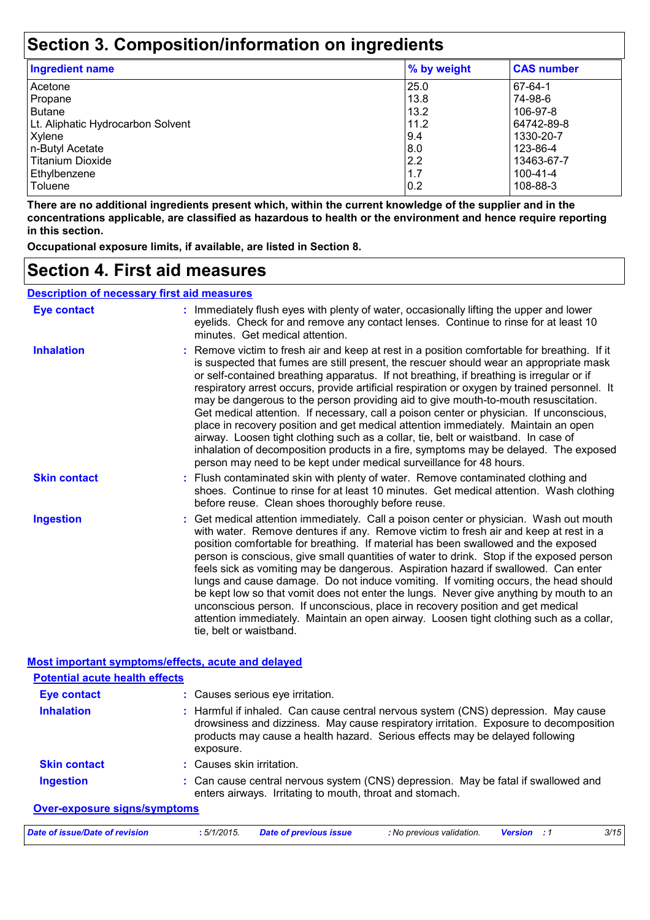## **Section 3. Composition/information on ingredients**

| <b>Ingredient name</b>            | % by weight | <b>CAS number</b> |
|-----------------------------------|-------------|-------------------|
| Acetone                           | 25.0        | 67-64-1           |
| Propane                           | 13.8        | 74-98-6           |
| <b>Butane</b>                     | 13.2        | 106-97-8          |
| Lt. Aliphatic Hydrocarbon Solvent | 11.2        | 64742-89-8        |
| Xylene                            | 9.4         | 1330-20-7         |
| n-Butyl Acetate                   | 8.0         | 123-86-4          |
| Titanium Dioxide                  | 2.2         | 13463-67-7        |
| Ethylbenzene                      | 1.7         | 100-41-4          |
| <b>Toluene</b>                    | 0.2         | 108-88-3          |

**There are no additional ingredients present which, within the current knowledge of the supplier and in the concentrations applicable, are classified as hazardous to health or the environment and hence require reporting in this section.**

**Occupational exposure limits, if available, are listed in Section 8.**

### **Section 4. First aid measures**

| <b>Description of necessary first aid measures</b> |                                                                                                                                                                                                                                                                                                                                                                                                                                                                                                                                                                                                                                                                                                                                                                                                                                                                                                                |  |  |
|----------------------------------------------------|----------------------------------------------------------------------------------------------------------------------------------------------------------------------------------------------------------------------------------------------------------------------------------------------------------------------------------------------------------------------------------------------------------------------------------------------------------------------------------------------------------------------------------------------------------------------------------------------------------------------------------------------------------------------------------------------------------------------------------------------------------------------------------------------------------------------------------------------------------------------------------------------------------------|--|--|
| <b>Eye contact</b>                                 | : Immediately flush eyes with plenty of water, occasionally lifting the upper and lower<br>eyelids. Check for and remove any contact lenses. Continue to rinse for at least 10<br>minutes. Get medical attention.                                                                                                                                                                                                                                                                                                                                                                                                                                                                                                                                                                                                                                                                                              |  |  |
| <b>Inhalation</b>                                  | : Remove victim to fresh air and keep at rest in a position comfortable for breathing. If it<br>is suspected that fumes are still present, the rescuer should wear an appropriate mask<br>or self-contained breathing apparatus. If not breathing, if breathing is irregular or if<br>respiratory arrest occurs, provide artificial respiration or oxygen by trained personnel. It<br>may be dangerous to the person providing aid to give mouth-to-mouth resuscitation.<br>Get medical attention. If necessary, call a poison center or physician. If unconscious,<br>place in recovery position and get medical attention immediately. Maintain an open<br>airway. Loosen tight clothing such as a collar, tie, belt or waistband. In case of<br>inhalation of decomposition products in a fire, symptoms may be delayed. The exposed<br>person may need to be kept under medical surveillance for 48 hours. |  |  |
| <b>Skin contact</b>                                | : Flush contaminated skin with plenty of water. Remove contaminated clothing and<br>shoes. Continue to rinse for at least 10 minutes. Get medical attention. Wash clothing<br>before reuse. Clean shoes thoroughly before reuse.                                                                                                                                                                                                                                                                                                                                                                                                                                                                                                                                                                                                                                                                               |  |  |
| <b>Ingestion</b>                                   | : Get medical attention immediately. Call a poison center or physician. Wash out mouth<br>with water. Remove dentures if any. Remove victim to fresh air and keep at rest in a<br>position comfortable for breathing. If material has been swallowed and the exposed<br>person is conscious, give small quantities of water to drink. Stop if the exposed person<br>feels sick as vomiting may be dangerous. Aspiration hazard if swallowed. Can enter<br>lungs and cause damage. Do not induce vomiting. If vomiting occurs, the head should<br>be kept low so that vomit does not enter the lungs. Never give anything by mouth to an<br>unconscious person. If unconscious, place in recovery position and get medical<br>attention immediately. Maintain an open airway. Loosen tight clothing such as a collar,<br>tie, belt or waistband.                                                                |  |  |

#### **Most important symptoms/effects, acute and delayed**

| <b>Potential acute health effects</b> |                                                                                                                                                                                                                                                                          |
|---------------------------------------|--------------------------------------------------------------------------------------------------------------------------------------------------------------------------------------------------------------------------------------------------------------------------|
| Eye contact                           | : Causes serious eye irritation.                                                                                                                                                                                                                                         |
| <b>Inhalation</b>                     | : Harmful if inhaled. Can cause central nervous system (CNS) depression. May cause<br>drowsiness and dizziness. May cause respiratory irritation. Exposure to decomposition<br>products may cause a health hazard. Serious effects may be delayed following<br>exposure. |
| <b>Skin contact</b>                   | : Causes skin irritation.                                                                                                                                                                                                                                                |
| <b>Ingestion</b>                      | : Can cause central nervous system (CNS) depression. May be fatal if swallowed and<br>enters airways. Irritating to mouth, throat and stomach.                                                                                                                           |
| <b>Over-exposure signs/symptoms</b>   |                                                                                                                                                                                                                                                                          |
| Date of issue/Date of revision        | 3/15<br>: No previous validation.<br>:5/1/2015.<br><b>Date of previous issue</b><br><b>Version</b> : 1                                                                                                                                                                   |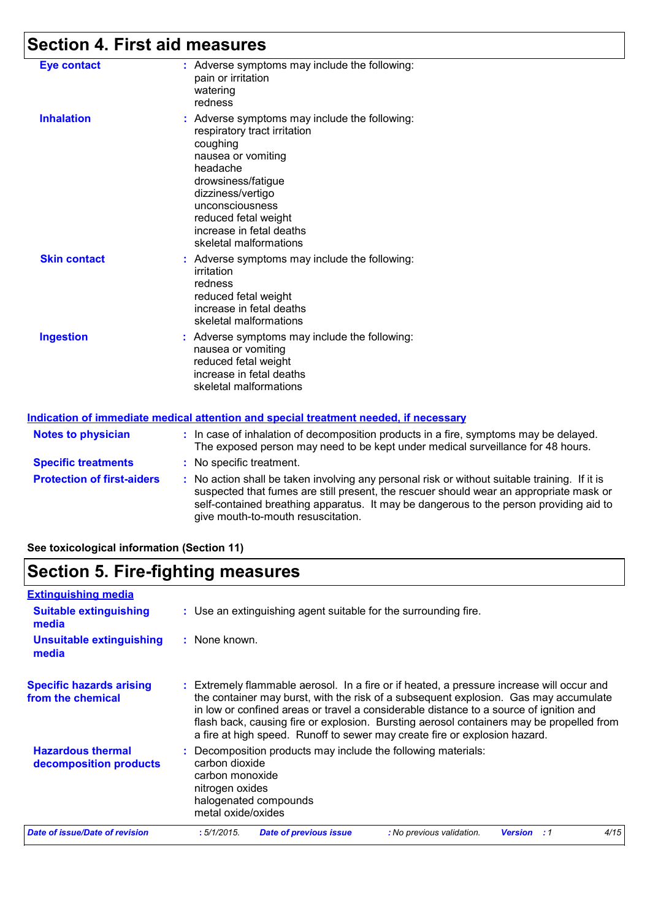## **Section 4. First aid measures**

| <b>Eye contact</b>         | : Adverse symptoms may include the following:<br>pain or irritation<br>watering<br>redness                                                                                                                                                                              |
|----------------------------|-------------------------------------------------------------------------------------------------------------------------------------------------------------------------------------------------------------------------------------------------------------------------|
| <b>Inhalation</b>          | : Adverse symptoms may include the following:<br>respiratory tract irritation<br>coughing<br>nausea or vomiting<br>headache<br>drowsiness/fatigue<br>dizziness/vertigo<br>unconsciousness<br>reduced fetal weight<br>increase in fetal deaths<br>skeletal malformations |
| <b>Skin contact</b>        | : Adverse symptoms may include the following:<br>irritation<br>redness<br>reduced fetal weight<br>increase in fetal deaths<br>skeletal malformations                                                                                                                    |
| <b>Ingestion</b>           | Adverse symptoms may include the following:<br>nausea or vomiting<br>reduced fetal weight<br>increase in fetal deaths<br>skeletal malformations                                                                                                                         |
|                            | <u>Indication of immediate medical attention and special treatment needed, if necessary</u>                                                                                                                                                                             |
| <b>Notes to physician</b>  | : In case of inhalation of decomposition products in a fire, symptoms may be delayed.<br>The exposed person may need to be kept under medical surveillance for 48 hours.                                                                                                |
| <b>Specific treatments</b> | : No specific treatment.                                                                                                                                                                                                                                                |
|                            |                                                                                                                                                                                                                                                                         |

**Protection of first-aiders** : No action shall be taken involving any personal risk or without suitable training. If it is suspected that fumes are still present, the rescuer should wear an appropriate mask or self-contained breathing apparatus. It may be dangerous to the person providing aid to give mouth-to-mouth resuscitation.

**See toxicological information (Section 11)**

### **Section 5. Fire-fighting measures**

| <b>Extinguishing media</b>                           |                                                                                                                                                                                                                                                                                                                                                                                                                                                       |
|------------------------------------------------------|-------------------------------------------------------------------------------------------------------------------------------------------------------------------------------------------------------------------------------------------------------------------------------------------------------------------------------------------------------------------------------------------------------------------------------------------------------|
| <b>Suitable extinguishing</b><br>media               | : Use an extinguishing agent suitable for the surrounding fire.                                                                                                                                                                                                                                                                                                                                                                                       |
| <b>Unsuitable extinguishing</b><br>media             | : None known.                                                                                                                                                                                                                                                                                                                                                                                                                                         |
| <b>Specific hazards arising</b><br>from the chemical | : Extremely flammable aerosol. In a fire or if heated, a pressure increase will occur and<br>the container may burst, with the risk of a subsequent explosion. Gas may accumulate<br>in low or confined areas or travel a considerable distance to a source of ignition and<br>flash back, causing fire or explosion. Bursting aerosol containers may be propelled from<br>a fire at high speed. Runoff to sewer may create fire or explosion hazard. |
| <b>Hazardous thermal</b><br>decomposition products   | Decomposition products may include the following materials:<br>carbon dioxide<br>carbon monoxide<br>nitrogen oxides<br>halogenated compounds<br>metal oxide/oxides                                                                                                                                                                                                                                                                                    |
| <b>Date of issue/Date of revision</b>                | :5/1/2015.<br><b>Date of previous issue</b><br>4/15<br>: No previous validation.<br><b>Version</b><br>- : 1                                                                                                                                                                                                                                                                                                                                           |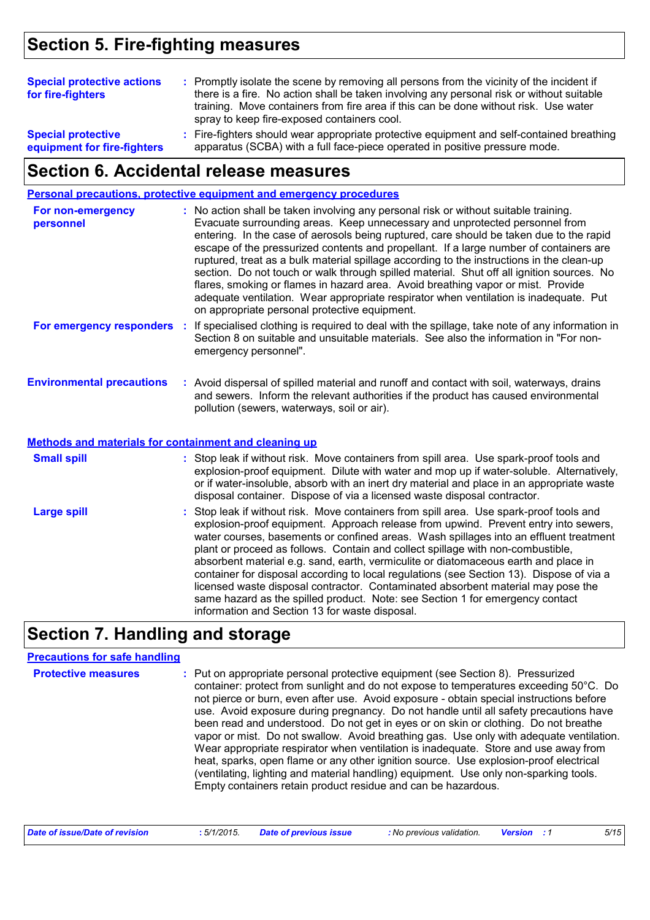## **Section 5. Fire-fighting measures**

| <b>Special protective actions</b><br>for fire-fighters   | : Promptly isolate the scene by removing all persons from the vicinity of the incident if<br>there is a fire. No action shall be taken involving any personal risk or without suitable<br>training. Move containers from fire area if this can be done without risk. Use water<br>spray to keep fire-exposed containers cool. |
|----------------------------------------------------------|-------------------------------------------------------------------------------------------------------------------------------------------------------------------------------------------------------------------------------------------------------------------------------------------------------------------------------|
| <b>Special protective</b><br>equipment for fire-fighters | : Fire-fighters should wear appropriate protective equipment and self-contained breathing<br>apparatus (SCBA) with a full face-piece operated in positive pressure mode.                                                                                                                                                      |

### **Section 6. Accidental release measures**

|                                                       | <b>Personal precautions, protective equipment and emergency procedures</b>                                                                                                                                                                                                                                                                                                                                                                                                                                                                                                                                                                                                                                                                                                       |
|-------------------------------------------------------|----------------------------------------------------------------------------------------------------------------------------------------------------------------------------------------------------------------------------------------------------------------------------------------------------------------------------------------------------------------------------------------------------------------------------------------------------------------------------------------------------------------------------------------------------------------------------------------------------------------------------------------------------------------------------------------------------------------------------------------------------------------------------------|
| For non-emergency<br>personnel                        | : No action shall be taken involving any personal risk or without suitable training.<br>Evacuate surrounding areas. Keep unnecessary and unprotected personnel from<br>entering. In the case of aerosols being ruptured, care should be taken due to the rapid<br>escape of the pressurized contents and propellant. If a large number of containers are<br>ruptured, treat as a bulk material spillage according to the instructions in the clean-up<br>section. Do not touch or walk through spilled material. Shut off all ignition sources. No<br>flares, smoking or flames in hazard area. Avoid breathing vapor or mist. Provide<br>adequate ventilation. Wear appropriate respirator when ventilation is inadequate. Put<br>on appropriate personal protective equipment. |
| For emergency responders                              | : If specialised clothing is required to deal with the spillage, take note of any information in<br>Section 8 on suitable and unsuitable materials. See also the information in "For non-<br>emergency personnel".                                                                                                                                                                                                                                                                                                                                                                                                                                                                                                                                                               |
| <b>Environmental precautions</b>                      | : Avoid dispersal of spilled material and runoff and contact with soil, waterways, drains<br>and sewers. Inform the relevant authorities if the product has caused environmental<br>pollution (sewers, waterways, soil or air).                                                                                                                                                                                                                                                                                                                                                                                                                                                                                                                                                  |
| Methods and materials for containment and cleaning up |                                                                                                                                                                                                                                                                                                                                                                                                                                                                                                                                                                                                                                                                                                                                                                                  |
| <b>Small spill</b>                                    | : Stop leak if without risk. Move containers from spill area. Use spark-proof tools and<br>explosion-proof equipment. Dilute with water and mop up if water-soluble. Alternatively,<br>or if water-insoluble, absorb with an inert dry material and place in an appropriate waste<br>disposal container. Dispose of via a licensed waste disposal contractor.                                                                                                                                                                                                                                                                                                                                                                                                                    |
| <b>Large spill</b>                                    | : Stop leak if without risk. Move containers from spill area. Use spark-proof tools and<br>explosion-proof equipment. Approach release from upwind. Prevent entry into sewers,<br>water courses, basements or confined areas. Wash spillages into an effluent treatment<br>plant or proceed as follows. Contain and collect spillage with non-combustible,<br>absorbent material e.g. sand, earth, vermiculite or diatomaceous earth and place in<br>container for disposal according to local regulations (see Section 13). Dispose of via a                                                                                                                                                                                                                                    |

## **Section 7. Handling and storage**

#### **Precautions for safe handling**

| container: protect from sunlight and do not expose to temperatures exceeding 50°C. Do<br>not pierce or burn, even after use. Avoid exposure - obtain special instructions before<br>use. Avoid exposure during pregnancy. Do not handle until all safety precautions have<br>been read and understood. Do not get in eyes or on skin or clothing. Do not breathe<br>vapor or mist. Do not swallow. Avoid breathing gas. Use only with adequate ventilation.<br>Wear appropriate respirator when ventilation is inadequate. Store and use away from<br>heat, sparks, open flame or any other ignition source. Use explosion-proof electrical<br>(ventilating, lighting and material handling) equipment. Use only non-sparking tools.<br>Empty containers retain product residue and can be hazardous. |  |
|-------------------------------------------------------------------------------------------------------------------------------------------------------------------------------------------------------------------------------------------------------------------------------------------------------------------------------------------------------------------------------------------------------------------------------------------------------------------------------------------------------------------------------------------------------------------------------------------------------------------------------------------------------------------------------------------------------------------------------------------------------------------------------------------------------|--|
|-------------------------------------------------------------------------------------------------------------------------------------------------------------------------------------------------------------------------------------------------------------------------------------------------------------------------------------------------------------------------------------------------------------------------------------------------------------------------------------------------------------------------------------------------------------------------------------------------------------------------------------------------------------------------------------------------------------------------------------------------------------------------------------------------------|--|

information and Section 13 for waste disposal.

licensed waste disposal contractor. Contaminated absorbent material may pose the same hazard as the spilled product. Note: see Section 1 for emergency contact

| Date of issue/Date of revision<br>: 5/1/2015. | <b>Date of previous issue</b> |  | : No previous validation. | <b>Version</b> : 1 |  | 5/15 |
|-----------------------------------------------|-------------------------------|--|---------------------------|--------------------|--|------|
|-----------------------------------------------|-------------------------------|--|---------------------------|--------------------|--|------|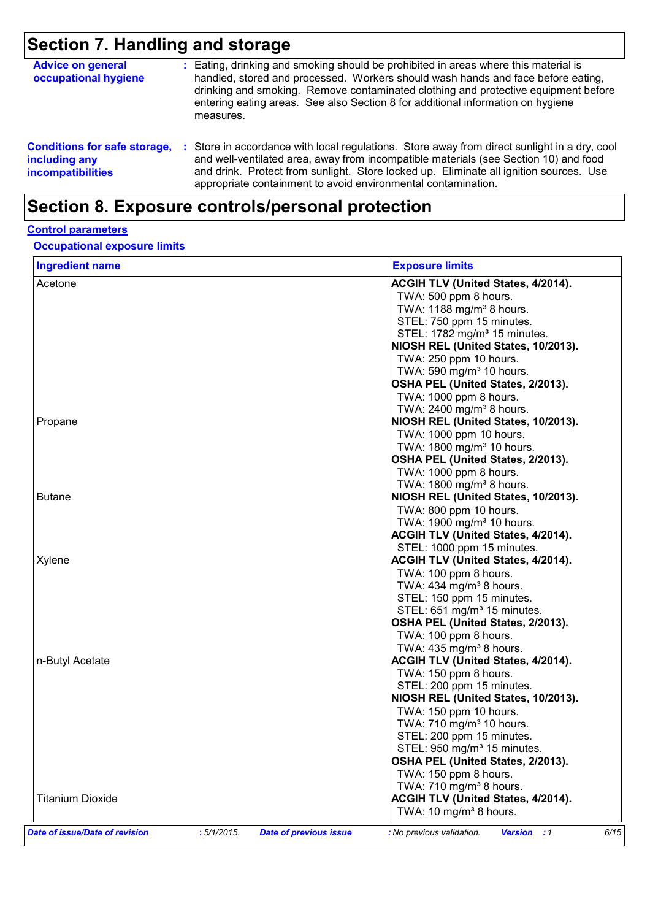# **Section 7. Handling and storage**

| <b>Advice on general</b><br>occupational hygiene                                 | : Eating, drinking and smoking should be prohibited in areas where this material is<br>handled, stored and processed. Workers should wash hands and face before eating,<br>drinking and smoking. Remove contaminated clothing and protective equipment before<br>entering eating areas. See also Section 8 for additional information on hygiene<br>measures. |  |
|----------------------------------------------------------------------------------|---------------------------------------------------------------------------------------------------------------------------------------------------------------------------------------------------------------------------------------------------------------------------------------------------------------------------------------------------------------|--|
| <b>Conditions for safe storage,</b><br>including any<br><b>incompatibilities</b> | Store in accordance with local regulations. Store away from direct sunlight in a dry, cool<br>and well-ventilated area, away from incompatible materials (see Section 10) and food<br>and drink. Protect from sunlight. Store locked up. Eliminate all ignition sources. Use<br>appropriate containment to avoid environmental contamination.                 |  |

## **Section 8. Exposure controls/personal protection**

#### **Control parameters**

#### **Occupational exposure limits**

| <b>Ingredient name</b>         |            |                               | <b>Exposure limits</b>                                  |
|--------------------------------|------------|-------------------------------|---------------------------------------------------------|
| Acetone                        |            |                               | ACGIH TLV (United States, 4/2014).                      |
|                                |            |                               | TWA: 500 ppm 8 hours.                                   |
|                                |            |                               | TWA: 1188 mg/m <sup>3</sup> 8 hours.                    |
|                                |            |                               | STEL: 750 ppm 15 minutes.                               |
|                                |            |                               | STEL: 1782 mg/m <sup>3</sup> 15 minutes.                |
|                                |            |                               | NIOSH REL (United States, 10/2013).                     |
|                                |            |                               | TWA: 250 ppm 10 hours.                                  |
|                                |            |                               | TWA: 590 mg/m <sup>3</sup> 10 hours.                    |
|                                |            |                               | OSHA PEL (United States, 2/2013).                       |
|                                |            |                               | TWA: 1000 ppm 8 hours.                                  |
|                                |            |                               | TWA: 2400 mg/m <sup>3</sup> 8 hours.                    |
| Propane                        |            |                               | NIOSH REL (United States, 10/2013).                     |
|                                |            |                               | TWA: 1000 ppm 10 hours.                                 |
|                                |            |                               | TWA: 1800 mg/m <sup>3</sup> 10 hours.                   |
|                                |            |                               | OSHA PEL (United States, 2/2013).                       |
|                                |            |                               | TWA: 1000 ppm 8 hours.                                  |
|                                |            |                               | TWA: 1800 mg/m <sup>3</sup> 8 hours.                    |
| <b>Butane</b>                  |            |                               | NIOSH REL (United States, 10/2013).                     |
|                                |            |                               | TWA: 800 ppm 10 hours.                                  |
|                                |            |                               | TWA: 1900 mg/m <sup>3</sup> 10 hours.                   |
|                                |            |                               | ACGIH TLV (United States, 4/2014).                      |
|                                |            |                               | STEL: 1000 ppm 15 minutes.                              |
| Xylene                         |            |                               | ACGIH TLV (United States, 4/2014).                      |
|                                |            |                               | TWA: 100 ppm 8 hours.                                   |
|                                |            |                               | TWA: 434 mg/m <sup>3</sup> 8 hours.                     |
|                                |            |                               | STEL: 150 ppm 15 minutes.                               |
|                                |            |                               | STEL: 651 mg/m <sup>3</sup> 15 minutes.                 |
|                                |            |                               | OSHA PEL (United States, 2/2013).                       |
|                                |            |                               | TWA: 100 ppm 8 hours.                                   |
|                                |            |                               | TWA: $435 \text{ mg/m}^3$ 8 hours.                      |
| n-Butyl Acetate                |            |                               | <b>ACGIH TLV (United States, 4/2014).</b>               |
|                                |            |                               | TWA: 150 ppm 8 hours.                                   |
|                                |            |                               | STEL: 200 ppm 15 minutes.                               |
|                                |            |                               | NIOSH REL (United States, 10/2013).                     |
|                                |            |                               | TWA: 150 ppm 10 hours.                                  |
|                                |            |                               | TWA: 710 mg/m <sup>3</sup> 10 hours.                    |
|                                |            |                               | STEL: 200 ppm 15 minutes.                               |
|                                |            |                               | STEL: 950 mg/m <sup>3</sup> 15 minutes.                 |
|                                |            |                               | OSHA PEL (United States, 2/2013).                       |
|                                |            |                               | TWA: 150 ppm 8 hours.                                   |
|                                |            |                               | TWA: 710 mg/m <sup>3</sup> 8 hours.                     |
| <b>Titanium Dioxide</b>        |            |                               | ACGIH TLV (United States, 4/2014).                      |
|                                |            |                               | TWA: 10 mg/m <sup>3</sup> 8 hours.                      |
| Date of issue/Date of revision | :5/1/2015. | <b>Date of previous issue</b> | : No previous validation.<br><b>Version</b> : 1<br>6/15 |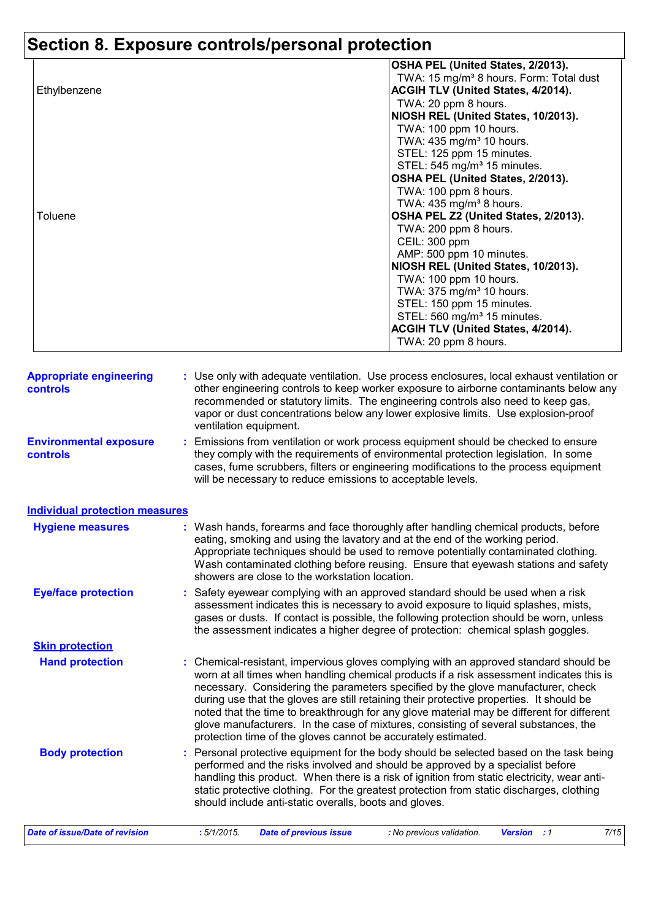# **Section 8. Exposure controls/personal protection**

|              | OSHA PEL (United States, 2/2013).                   |
|--------------|-----------------------------------------------------|
|              | TWA: 15 mg/m <sup>3</sup> 8 hours. Form: Total dust |
| Ethylbenzene | <b>ACGIH TLV (United States, 4/2014).</b>           |
|              | TWA: 20 ppm 8 hours.                                |
|              | NIOSH REL (United States, 10/2013).                 |
|              | TWA: 100 ppm 10 hours.                              |
|              | TWA: 435 mg/m <sup>3</sup> 10 hours.                |
|              | STEL: 125 ppm 15 minutes.                           |
|              | STEL: 545 mg/m <sup>3</sup> 15 minutes.             |
|              | OSHA PEL (United States, 2/2013).                   |
|              | TWA: 100 ppm 8 hours.                               |
|              | TWA: $435 \text{ mg/m}^3$ 8 hours.                  |
| Toluene      | OSHA PEL Z2 (United States, 2/2013).                |
|              | TWA: 200 ppm 8 hours.                               |
|              | CEIL: 300 ppm                                       |
|              | AMP: 500 ppm 10 minutes.                            |
|              | NIOSH REL (United States, 10/2013).                 |
|              | TWA: 100 ppm 10 hours.                              |
|              | TWA: 375 mg/m <sup>3</sup> 10 hours.                |
|              | STEL: 150 ppm 15 minutes.                           |
|              | STEL: 560 mg/m <sup>3</sup> 15 minutes.             |
|              | ACGIH TLV (United States, 4/2014).                  |
|              | TWA: 20 ppm 8 hours.                                |
|              |                                                     |

| <b>Appropriate engineering</b><br><b>controls</b> |    | : Use only with adequate ventilation. Use process enclosures, local exhaust ventilation or<br>other engineering controls to keep worker exposure to airborne contaminants below any<br>recommended or statutory limits. The engineering controls also need to keep gas,<br>vapor or dust concentrations below any lower explosive limits. Use explosion-proof<br>ventilation equipment.                                                                                                                                                                                                                                |
|---------------------------------------------------|----|------------------------------------------------------------------------------------------------------------------------------------------------------------------------------------------------------------------------------------------------------------------------------------------------------------------------------------------------------------------------------------------------------------------------------------------------------------------------------------------------------------------------------------------------------------------------------------------------------------------------|
| <b>Environmental exposure</b><br><b>controls</b>  | t. | Emissions from ventilation or work process equipment should be checked to ensure<br>they comply with the requirements of environmental protection legislation. In some<br>cases, fume scrubbers, filters or engineering modifications to the process equipment<br>will be necessary to reduce emissions to acceptable levels.                                                                                                                                                                                                                                                                                          |
| <b>Individual protection measures</b>             |    |                                                                                                                                                                                                                                                                                                                                                                                                                                                                                                                                                                                                                        |
| <b>Hygiene measures</b>                           |    | : Wash hands, forearms and face thoroughly after handling chemical products, before<br>eating, smoking and using the lavatory and at the end of the working period.<br>Appropriate techniques should be used to remove potentially contaminated clothing.<br>Wash contaminated clothing before reusing. Ensure that eyewash stations and safety<br>showers are close to the workstation location.                                                                                                                                                                                                                      |
| <b>Eye/face protection</b>                        |    | Safety eyewear complying with an approved standard should be used when a risk<br>assessment indicates this is necessary to avoid exposure to liquid splashes, mists,<br>gases or dusts. If contact is possible, the following protection should be worn, unless<br>the assessment indicates a higher degree of protection: chemical splash goggles.                                                                                                                                                                                                                                                                    |
| <b>Skin protection</b>                            |    |                                                                                                                                                                                                                                                                                                                                                                                                                                                                                                                                                                                                                        |
| <b>Hand protection</b>                            |    | : Chemical-resistant, impervious gloves complying with an approved standard should be<br>worn at all times when handling chemical products if a risk assessment indicates this is<br>necessary. Considering the parameters specified by the glove manufacturer, check<br>during use that the gloves are still retaining their protective properties. It should be<br>noted that the time to breakthrough for any glove material may be different for different<br>glove manufacturers. In the case of mixtures, consisting of several substances, the<br>protection time of the gloves cannot be accurately estimated. |
| <b>Body protection</b>                            |    | Personal protective equipment for the body should be selected based on the task being<br>performed and the risks involved and should be approved by a specialist before<br>handling this product. When there is a risk of ignition from static electricity, wear anti-<br>static protective clothing. For the greatest protection from static discharges, clothing<br>should include anti-static overalls, boots and gloves.                                                                                                                                                                                           |
| <b>Date of issue/Date of revision</b>             |    | 7/15<br>:5/1/2015.<br><b>Version</b> : 1<br><b>Date of previous issue</b><br>: No previous validation.                                                                                                                                                                                                                                                                                                                                                                                                                                                                                                                 |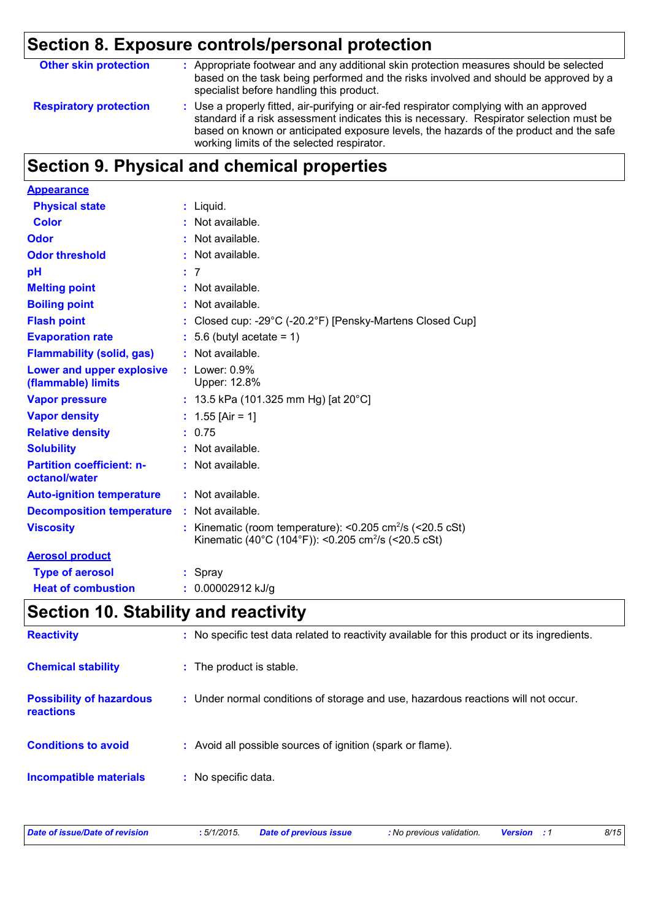# **Section 8. Exposure controls/personal protection**

| <b>Other skin protection</b>  | : Appropriate footwear and any additional skin protection measures should be selected<br>based on the task being performed and the risks involved and should be approved by a<br>specialist before handling this product.                                                                                                  |
|-------------------------------|----------------------------------------------------------------------------------------------------------------------------------------------------------------------------------------------------------------------------------------------------------------------------------------------------------------------------|
| <b>Respiratory protection</b> | : Use a properly fitted, air-purifying or air-fed respirator complying with an approved<br>standard if a risk assessment indicates this is necessary. Respirator selection must be<br>based on known or anticipated exposure levels, the hazards of the product and the safe<br>working limits of the selected respirator. |

# **Section 9. Physical and chemical properties**

| <b>Appearance</b>                                 |                                                                                                                                                 |
|---------------------------------------------------|-------------------------------------------------------------------------------------------------------------------------------------------------|
| <b>Physical state</b>                             | $:$ Liquid.                                                                                                                                     |
| <b>Color</b>                                      | : Not available.                                                                                                                                |
| Odor                                              | : Not available.                                                                                                                                |
| <b>Odor threshold</b>                             | : Not available.                                                                                                                                |
| pH                                                | : 7                                                                                                                                             |
| <b>Melting point</b>                              | : Not available.                                                                                                                                |
| <b>Boiling point</b>                              | : Not available.                                                                                                                                |
| <b>Flash point</b>                                | : Closed cup: -29°C (-20.2°F) [Pensky-Martens Closed Cup]                                                                                       |
| <b>Evaporation rate</b>                           | $: 5.6$ (butyl acetate = 1)                                                                                                                     |
| <b>Flammability (solid, gas)</b>                  | $:$ Not available.                                                                                                                              |
| Lower and upper explosive<br>(flammable) limits   | $:$ Lower: $0.9\%$<br>Upper: 12.8%                                                                                                              |
| <b>Vapor pressure</b>                             | : 13.5 kPa (101.325 mm Hg) [at 20°C]                                                                                                            |
| <b>Vapor density</b>                              | : $1.55$ [Air = 1]                                                                                                                              |
| <b>Relative density</b>                           | : 0.75                                                                                                                                          |
| <b>Solubility</b>                                 | $:$ Not available.                                                                                                                              |
| <b>Partition coefficient: n-</b><br>octanol/water | $:$ Not available.                                                                                                                              |
| <b>Auto-ignition temperature</b>                  | $:$ Not available.                                                                                                                              |
| <b>Decomposition temperature</b>                  | : Not available.                                                                                                                                |
| <b>Viscosity</b>                                  | : Kinematic (room temperature): $< 0.205$ cm <sup>2</sup> /s ( $< 20.5$ cSt)<br>Kinematic (40°C (104°F)): <0.205 cm <sup>2</sup> /s (<20.5 cSt) |
| <b>Aerosol product</b>                            |                                                                                                                                                 |
| <b>Type of aerosol</b>                            | : Spray                                                                                                                                         |
| <b>Heat of combustion</b>                         | 0.00002912 kJ/g                                                                                                                                 |

## **Section 10. Stability and reactivity**

| <b>Reactivity</b>                            | : No specific test data related to reactivity available for this product or its ingredients. |
|----------------------------------------------|----------------------------------------------------------------------------------------------|
| <b>Chemical stability</b>                    | : The product is stable.                                                                     |
| <b>Possibility of hazardous</b><br>reactions | : Under normal conditions of storage and use, hazardous reactions will not occur.            |
| <b>Conditions to avoid</b>                   | : Avoid all possible sources of ignition (spark or flame).                                   |
| <b>Incompatible materials</b>                | : No specific data.                                                                          |

| Date of issue/Date of revision | : 5/1/2015. | <b>Date of previous issue</b> | : No previous validation. | <b>Version</b> : 1 | 8/15 |
|--------------------------------|-------------|-------------------------------|---------------------------|--------------------|------|
|                                |             |                               |                           |                    |      |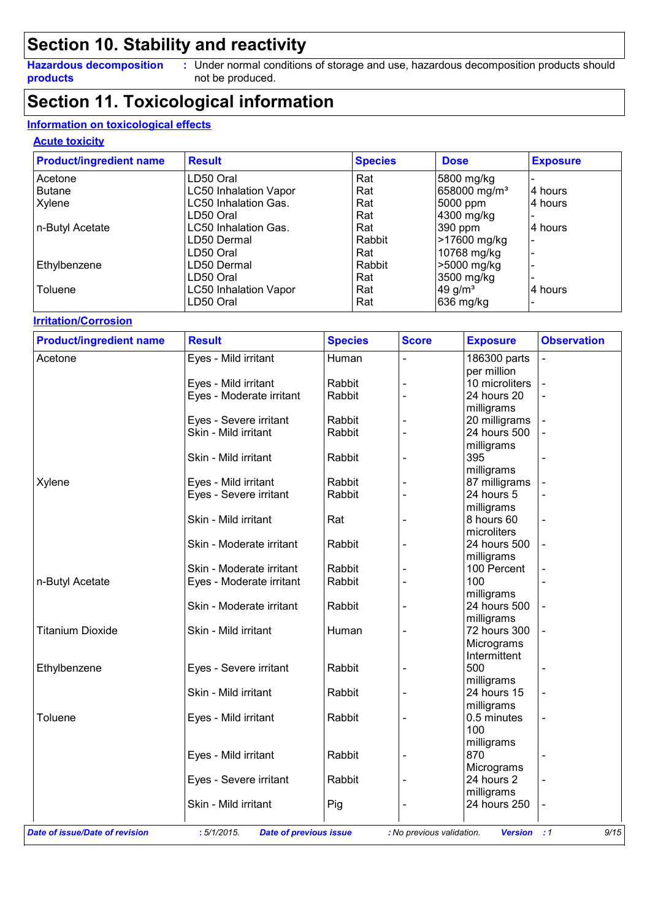### **Section 10. Stability and reactivity**

**Hazardous decomposition products**

Under normal conditions of storage and use, hazardous decomposition products should **:** not be produced.

### **Section 11. Toxicological information**

#### **Information on toxicological effects**

#### **Acute toxicity**

| <b>Product/ingredient name</b> | <b>Result</b>                | <b>Species</b> | <b>Dose</b>              | <b>Exposure</b> |
|--------------------------------|------------------------------|----------------|--------------------------|-----------------|
| Acetone                        | LD50 Oral                    | Rat            | 5800 mg/kg               |                 |
| <b>Butane</b>                  | <b>LC50 Inhalation Vapor</b> | Rat            | 658000 mg/m <sup>3</sup> | 4 hours         |
| Xylene                         | <b>LC50 Inhalation Gas.</b>  | Rat            | 5000 ppm                 | 4 hours         |
|                                | LD50 Oral                    | Rat            | 4300 mg/kg               |                 |
| n-Butyl Acetate                | <b>LC50 Inhalation Gas.</b>  | Rat            | 390 ppm                  | 4 hours         |
|                                | LD50 Dermal                  | Rabbit         | >17600 mg/kg             |                 |
|                                | LD50 Oral                    | Rat            | 10768 mg/kg              |                 |
| Ethylbenzene                   | LD50 Dermal                  | Rabbit         | >5000 mg/kg              |                 |
|                                | LD50 Oral                    | Rat            | 3500 mg/kg               |                 |
| Toluene                        | <b>LC50 Inhalation Vapor</b> | Rat            | 49 g/ $m3$               | 4 hours         |
|                                | LD50 Oral                    | Rat            | 636 mg/kg                |                 |

#### **Irritation/Corrosion**

| <b>Product/ingredient name</b> | <b>Result</b>                                  | <b>Species</b> | <b>Score</b>   | <b>Exposure</b>               | <b>Observation</b> |
|--------------------------------|------------------------------------------------|----------------|----------------|-------------------------------|--------------------|
| Acetone                        | Eyes - Mild irritant                           | Human          |                | 186300 parts<br>per million   |                    |
|                                | Eyes - Mild irritant                           | Rabbit         |                | 10 microliters                |                    |
|                                | Eyes - Moderate irritant                       | Rabbit         | $\overline{a}$ | 24 hours 20                   |                    |
|                                |                                                |                |                | milligrams                    |                    |
|                                |                                                | Rabbit         |                |                               |                    |
|                                | Eyes - Severe irritant<br>Skin - Mild irritant | Rabbit         |                | 20 milligrams<br>24 hours 500 |                    |
|                                |                                                |                |                |                               |                    |
|                                |                                                |                |                | milligrams                    |                    |
|                                | Skin - Mild irritant                           | Rabbit         |                | 395                           | $\blacksquare$     |
|                                |                                                |                |                | milligrams                    |                    |
| Xylene                         | Eyes - Mild irritant                           | Rabbit         |                | 87 milligrams                 |                    |
|                                | Eyes - Severe irritant                         | Rabbit         |                | 24 hours 5                    |                    |
|                                |                                                |                |                | milligrams                    |                    |
|                                | Skin - Mild irritant                           | Rat            |                | 8 hours 60                    | $\overline{a}$     |
|                                |                                                |                |                | microliters                   |                    |
|                                | Skin - Moderate irritant                       | Rabbit         |                | 24 hours 500                  |                    |
|                                |                                                |                |                | milligrams                    |                    |
|                                | Skin - Moderate irritant                       | Rabbit         |                | 100 Percent                   |                    |
| n-Butyl Acetate                | Eyes - Moderate irritant                       | Rabbit         |                | 100                           |                    |
|                                |                                                |                |                | milligrams                    |                    |
|                                | Skin - Moderate irritant                       | Rabbit         |                | 24 hours 500                  |                    |
|                                |                                                |                |                | milligrams                    |                    |
| <b>Titanium Dioxide</b>        | Skin - Mild irritant                           | Human          |                | 72 hours 300                  |                    |
|                                |                                                |                |                | Micrograms                    |                    |
|                                |                                                |                |                | Intermittent                  |                    |
| Ethylbenzene                   | Eyes - Severe irritant                         | Rabbit         |                | 500                           |                    |
|                                |                                                |                |                | milligrams                    |                    |
|                                | Skin - Mild irritant                           | Rabbit         |                | 24 hours 15                   |                    |
|                                |                                                |                |                | milligrams                    |                    |
| Toluene                        | Eyes - Mild irritant                           | Rabbit         |                | 0.5 minutes                   | $\blacksquare$     |
|                                |                                                |                |                | 100                           |                    |
|                                |                                                |                |                | milligrams                    |                    |
|                                | Eyes - Mild irritant                           | Rabbit         |                | 870                           |                    |
|                                |                                                |                |                |                               |                    |
|                                |                                                |                |                | Micrograms<br>24 hours 2      |                    |
|                                | Eyes - Severe irritant                         | Rabbit         |                |                               |                    |
|                                |                                                |                |                | milligrams                    |                    |
|                                | Skin - Mild irritant                           | Pig            |                | 24 hours 250                  | $\blacksquare$     |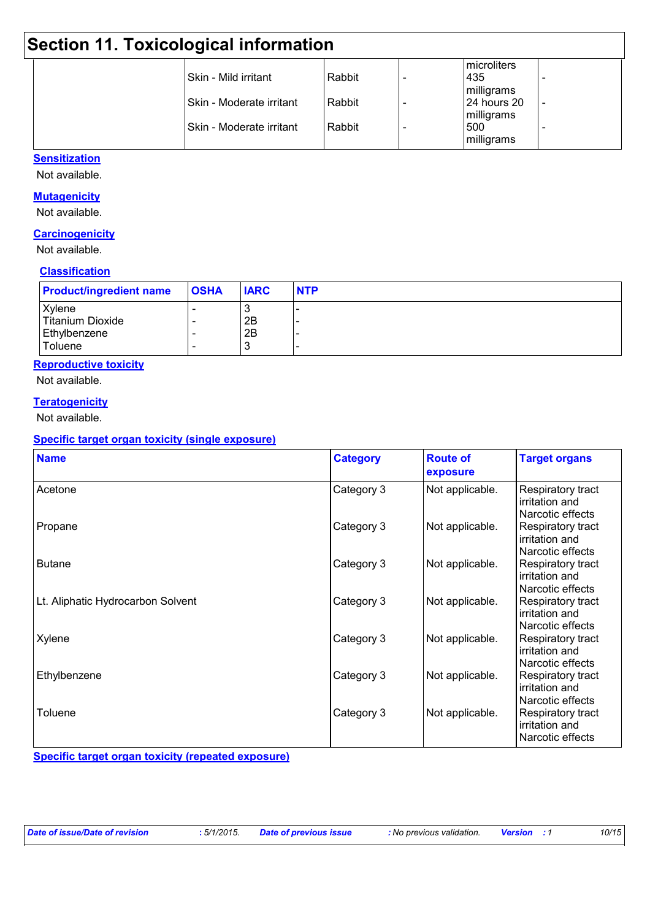| <b>Section 11. Toxicological information</b> |                            |        |  |                                   |  |
|----------------------------------------------|----------------------------|--------|--|-----------------------------------|--|
|                                              | l Skin - Mild irritant     | Rabbit |  | microliters<br>1435<br>milligrams |  |
|                                              | l Skin - Moderate irritant | Rabbit |  | 24 hours 20<br>milligrams         |  |
|                                              | l Skin - Moderate irritant | Rabbit |  | 500<br>milligrams                 |  |

#### **Sensitization**

Not available.

#### **Mutagenicity**

Not available.

#### **Carcinogenicity**

Not available.

#### **Classification**

| <b>Product/ingredient name</b> | <b>OSHA</b>              | <b>IARC</b> | <b>NTP</b> |
|--------------------------------|--------------------------|-------------|------------|
| Xylene                         |                          | ີ           |            |
| Titanium Dioxide               | $\overline{\phantom{0}}$ | 2B          |            |
| Ethylbenzene                   |                          | 2B          |            |
| Toluene                        |                          | J.          |            |

#### **Reproductive toxicity**

Not available.

#### **Teratogenicity**

Not available.

#### **Specific target organ toxicity (single exposure)**

| <b>Name</b>                       | <b>Category</b> | <b>Route of</b><br>exposure | <b>Target organs</b>                                    |
|-----------------------------------|-----------------|-----------------------------|---------------------------------------------------------|
| Acetone                           | Category 3      | Not applicable.             | Respiratory tract<br>irritation and<br>Narcotic effects |
| Propane                           | Category 3      | Not applicable.             | Respiratory tract<br>irritation and<br>Narcotic effects |
| <b>Butane</b>                     | Category 3      | Not applicable.             | Respiratory tract<br>irritation and<br>Narcotic effects |
| Lt. Aliphatic Hydrocarbon Solvent | Category 3      | Not applicable.             | Respiratory tract<br>irritation and<br>Narcotic effects |
| Xylene                            | Category 3      | Not applicable.             | Respiratory tract<br>irritation and<br>Narcotic effects |
| Ethylbenzene                      | Category 3      | Not applicable.             | Respiratory tract<br>irritation and<br>Narcotic effects |
| Toluene                           | Category 3      | Not applicable.             | Respiratory tract<br>irritation and<br>Narcotic effects |

**Specific target organ toxicity (repeated exposure)**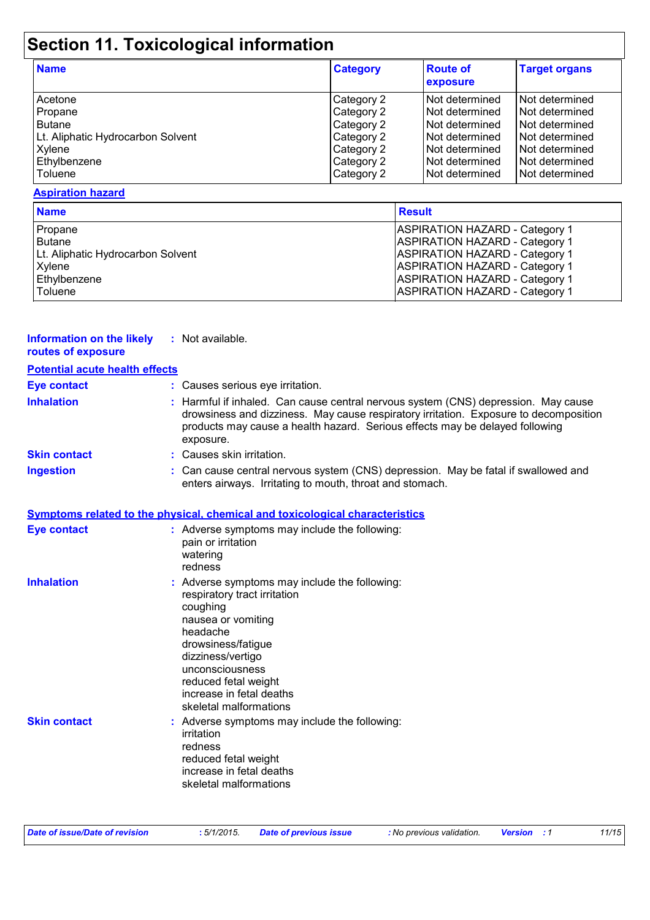# **Section 11. Toxicological information**

| <b>Name</b>                       | <b>Category</b> | <b>Route of</b><br>exposure | <b>Target organs</b> |
|-----------------------------------|-----------------|-----------------------------|----------------------|
| Acetone                           | Category 2      | Not determined              | l Not determined     |
| Propane                           | Category 2      | Not determined              | l Not determined     |
| <b>Butane</b>                     | Category 2      | Not determined              | Not determined       |
| Lt. Aliphatic Hydrocarbon Solvent | Category 2      | Not determined              | Not determined       |
| Xylene                            | Category 2      | I Not determined            | Not determined       |
| Ethylbenzene                      | Category 2      | INot determined             | Not determined       |
| Toluene                           | Category 2      | Not determined              | Not determined       |

#### **Aspiration hazard**

| <b>Name</b>                       | <b>Result</b>                         |
|-----------------------------------|---------------------------------------|
| Propane                           | <b>ASPIRATION HAZARD - Category 1</b> |
| <b>Butane</b>                     | <b>ASPIRATION HAZARD - Category 1</b> |
| Lt. Aliphatic Hydrocarbon Solvent | <b>ASPIRATION HAZARD - Category 1</b> |
| Xylene                            | <b>ASPIRATION HAZARD - Category 1</b> |
| Ethylbenzene                      | <b>ASPIRATION HAZARD - Category 1</b> |
| Toluene                           | <b>ASPIRATION HAZARD - Category 1</b> |

| <b>Information on the likely</b><br>routes of exposure | : Not available.                                                                                                                                                                                                                                                         |
|--------------------------------------------------------|--------------------------------------------------------------------------------------------------------------------------------------------------------------------------------------------------------------------------------------------------------------------------|
| <b>Potential acute health effects</b>                  |                                                                                                                                                                                                                                                                          |
| <b>Eye contact</b>                                     | : Causes serious eye irritation.                                                                                                                                                                                                                                         |
| <b>Inhalation</b>                                      | : Harmful if inhaled. Can cause central nervous system (CNS) depression. May cause<br>drowsiness and dizziness. May cause respiratory irritation. Exposure to decomposition<br>products may cause a health hazard. Serious effects may be delayed following<br>exposure. |
| <b>Skin contact</b>                                    | : Causes skin irritation.                                                                                                                                                                                                                                                |
| <b>Ingestion</b>                                       | : Can cause central nervous system (CNS) depression. May be fatal if swallowed and<br>enters airways. Irritating to mouth, throat and stomach.                                                                                                                           |
|                                                        | <b>Symptoms related to the physical, chemical and toxicological characteristics</b>                                                                                                                                                                                      |
| <b>Eye contact</b>                                     | : Adverse symptoms may include the following:<br>pain or irritation<br>watering<br>redness                                                                                                                                                                               |
| <b>Inhalation</b>                                      | : Adverse symptoms may include the following:<br>respiratory tract irritation<br>coughing<br>nausea or vomiting<br>headache<br>drowsiness/fatigue<br>dizziness/vertigo<br>unconsciousness<br>reduced fetal weight<br>increase in fetal deaths<br>skeletal malformations  |
| <b>Skin contact</b>                                    | : Adverse symptoms may include the following:<br>irritation<br>redness<br>reduced fetal weight<br>increase in fetal deaths<br>skeletal malformations                                                                                                                     |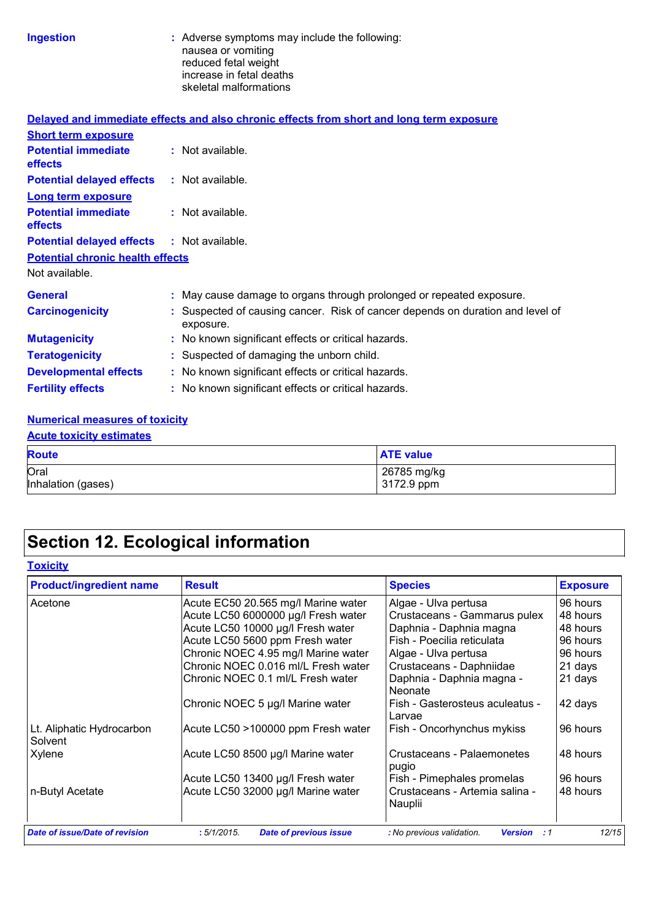| Ingestion |  |
|-----------|--|
|           |  |

**Ingestion highlenging include that is a strong include the following:** nausea or vomiting reduced fetal weight increase in fetal deaths skeletal malformations

|                                                   | Delayed and immediate effects and also chronic effects from short and long term exposure    |
|---------------------------------------------------|---------------------------------------------------------------------------------------------|
| <b>Short term exposure</b>                        |                                                                                             |
| <b>Potential immediate</b><br><b>effects</b>      | : Not available.                                                                            |
| <b>Potential delayed effects : Not available.</b> |                                                                                             |
| <b>Long term exposure</b>                         |                                                                                             |
| <b>Potential immediate</b><br><b>effects</b>      | $:$ Not available.                                                                          |
| <b>Potential delayed effects : Not available.</b> |                                                                                             |
| <b>Potential chronic health effects</b>           |                                                                                             |
| Not available.                                    |                                                                                             |
| <b>General</b>                                    | : May cause damage to organs through prolonged or repeated exposure.                        |
| <b>Carcinogenicity</b>                            | : Suspected of causing cancer. Risk of cancer depends on duration and level of<br>exposure. |
| <b>Mutagenicity</b>                               | : No known significant effects or critical hazards.                                         |
| <b>Teratogenicity</b>                             | : Suspected of damaging the unborn child.                                                   |
| <b>Developmental effects</b>                      | : No known significant effects or critical hazards.                                         |
| <b>Fertility effects</b>                          | : No known significant effects or critical hazards.                                         |

#### **Numerical measures of toxicity**

| <b>Acute toxicity estimates</b> |                           |  |  |
|---------------------------------|---------------------------|--|--|
| <b>Route</b>                    | <b>ATE</b> value          |  |  |
| Oral<br>Inhalation (gases)      | 26785 mg/kg<br>3172.9 ppm |  |  |

# **Section 12. Ecological information**

|                                     |                                                                          | <b>Exposure</b>                                           |
|-------------------------------------|--------------------------------------------------------------------------|-----------------------------------------------------------|
| Acute EC50 20.565 mg/l Marine water | Algae - Ulva pertusa                                                     | 96 hours                                                  |
| Acute LC50 6000000 µg/l Fresh water | Crustaceans - Gammarus pulex                                             | 48 hours                                                  |
| Acute LC50 10000 µg/l Fresh water   | Daphnia - Daphnia magna                                                  | 48 hours                                                  |
| Acute LC50 5600 ppm Fresh water     | Fish - Poecilia reticulata                                               | 96 hours                                                  |
|                                     |                                                                          | 96 hours                                                  |
| Chronic NOEC 0.016 ml/L Fresh water |                                                                          | 21 days                                                   |
| Chronic NOEC 0.1 ml/L Fresh water   | Daphnia - Daphnia magna -<br>Neonate                                     | 21 days                                                   |
| Chronic NOEC 5 µg/l Marine water    | Fish - Gasterosteus aculeatus -<br>Larvae                                | 42 days                                                   |
| Acute LC50 >100000 ppm Fresh water  | Fish - Oncorhynchus mykiss                                               | 96 hours                                                  |
| Acute LC50 8500 µg/l Marine water   | Crustaceans - Palaemonetes                                               | 48 hours                                                  |
|                                     | Fish - Pimephales promelas                                               | 96 hours                                                  |
| Acute LC50 32000 µg/l Marine water  | Crustaceans - Artemia salina -<br>Nauplii                                | 48 hours                                                  |
|                                     | Chronic NOEC 4.95 mg/l Marine water<br>Acute LC50 13400 µg/l Fresh water | Algae - Ulva pertusa<br>Crustaceans - Daphniidae<br>pugio |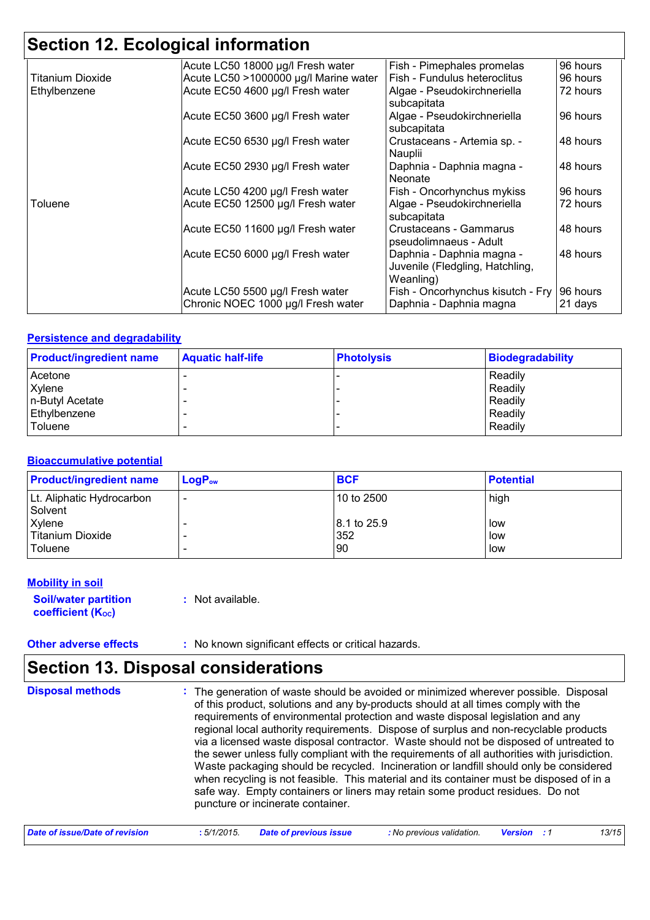## **Section 12. Ecological information**

|                         | Acute LC50 18000 µg/l Fresh water     | Fish - Pimephales promelas        | 96 hours |
|-------------------------|---------------------------------------|-----------------------------------|----------|
| <b>Titanium Dioxide</b> | Acute LC50 >1000000 µg/l Marine water | Fish - Fundulus heteroclitus      | 96 hours |
| Ethylbenzene            | Acute EC50 4600 µg/l Fresh water      | Algae - Pseudokirchneriella       | 72 hours |
|                         |                                       | subcapitata                       |          |
|                         | Acute EC50 3600 µg/l Fresh water      | Algae - Pseudokirchneriella       | 96 hours |
|                         |                                       | subcapitata                       |          |
|                         | Acute EC50 6530 µg/l Fresh water      | Crustaceans - Artemia sp. -       | 48 hours |
|                         |                                       | Nauplii                           |          |
|                         | Acute EC50 2930 µg/l Fresh water      | Daphnia - Daphnia magna -         | 48 hours |
|                         |                                       | Neonate                           |          |
|                         | Acute LC50 4200 µg/l Fresh water      | Fish - Oncorhynchus mykiss        | 96 hours |
| Toluene                 | Acute EC50 12500 µg/l Fresh water     | Algae - Pseudokirchneriella       | 72 hours |
|                         |                                       | subcapitata                       |          |
|                         | Acute EC50 11600 µg/l Fresh water     | Crustaceans - Gammarus            | 48 hours |
|                         |                                       | pseudolimnaeus - Adult            |          |
|                         | Acute EC50 6000 µg/l Fresh water      | Daphnia - Daphnia magna -         | 48 hours |
|                         |                                       | Juvenile (Fledgling, Hatchling,   |          |
|                         |                                       | Weanling)                         |          |
|                         | Acute LC50 5500 µg/l Fresh water      | Fish - Oncorhynchus kisutch - Fry | 96 hours |
|                         | Chronic NOEC 1000 µg/l Fresh water    | Daphnia - Daphnia magna           | 21 days  |
|                         |                                       |                                   |          |

#### **Persistence and degradability**

| <b>Product/ingredient name</b> | <b>Aquatic half-life</b> | <b>Photolysis</b> | <b>Biodegradability</b> |
|--------------------------------|--------------------------|-------------------|-------------------------|
| Acetone                        |                          |                   | Readily                 |
| Xylene                         |                          |                   | Readily                 |
| n-Butyl Acetate                |                          |                   | Readily                 |
| Ethylbenzene                   |                          |                   | Readily                 |
| Toluene                        |                          |                   | Readily                 |

#### **Bioaccumulative potential**

| <b>Product/ingredient name</b>       | $LogP_{ow}$ | <b>BCF</b>  | <b>Potential</b> |
|--------------------------------------|-------------|-------------|------------------|
| Lt. Aliphatic Hydrocarbon<br>Solvent |             | 10 to 2500  | high             |
| Xylene                               |             | 8.1 to 25.9 | low              |
| Titanium Dioxide<br>l Toluene        |             | 352<br>90   | low<br>low       |

#### **Mobility in soil**

**Soil/water partition coefficient (KOC) :** Not available.

**Other adverse effects** : No known significant effects or critical hazards.

### **Section 13. Disposal considerations**

The generation of waste should be avoided or minimized wherever possible. Disposal of this product, solutions and any by-products should at all times comply with the requirements of environmental protection and waste disposal legislation and any regional local authority requirements. Dispose of surplus and non-recyclable products via a licensed waste disposal contractor. Waste should not be disposed of untreated to the sewer unless fully compliant with the requirements of all authorities with jurisdiction. Waste packaging should be recycled. Incineration or landfill should only be considered when recycling is not feasible. This material and its container must be disposed of in a safe way. Empty containers or liners may retain some product residues. Do not puncture or incinerate container. **Disposal methods :**

| Date of issue/Date of revision<br><u>:</u> 5/1/2015. | <b>Date of previous issue</b> | No previous validation. <b>Version</b> : 1 |  | 13/15 |
|------------------------------------------------------|-------------------------------|--------------------------------------------|--|-------|
|------------------------------------------------------|-------------------------------|--------------------------------------------|--|-------|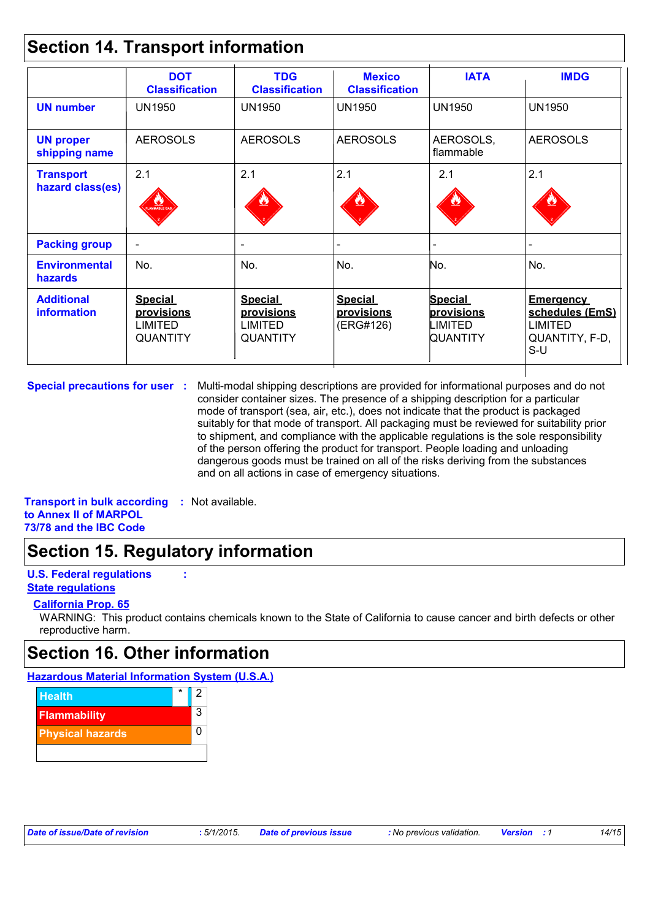### **Section 14. Transport information**

|                                         | <b>DOT</b><br><b>Classification</b>                               | <b>TDG</b><br><b>Classification</b>                               | <b>Mexico</b><br><b>Classification</b>           | <b>IATA</b>                                                | <b>IMDG</b>                                                                      |
|-----------------------------------------|-------------------------------------------------------------------|-------------------------------------------------------------------|--------------------------------------------------|------------------------------------------------------------|----------------------------------------------------------------------------------|
| <b>UN number</b>                        | <b>UN1950</b>                                                     | <b>UN1950</b>                                                     | <b>UN1950</b>                                    | <b>UN1950</b>                                              | <b>UN1950</b>                                                                    |
| <b>UN proper</b><br>shipping name       | <b>AEROSOLS</b>                                                   | <b>AEROSOLS</b>                                                   | <b>AEROSOLS</b>                                  | AEROSOLS,<br>flammable                                     | <b>AEROSOLS</b>                                                                  |
| <b>Transport</b><br>hazard class(es)    | 2.1<br><b>AMMABLE GA</b>                                          | 2.1<br><u>ئىللا</u>                                               | 2.1                                              | 2.1                                                        | 2.1                                                                              |
| <b>Packing group</b>                    |                                                                   | $\overline{\phantom{0}}$                                          |                                                  |                                                            |                                                                                  |
| <b>Environmental</b><br><b>hazards</b>  | No.                                                               | No.                                                               | No.                                              | No.                                                        | No.                                                                              |
| <b>Additional</b><br><b>information</b> | <b>Special</b><br>provisions<br><b>LIMITED</b><br><b>QUANTITY</b> | <b>Special</b><br><b>provisions</b><br>LIMITED<br><b>QUANTITY</b> | <b>Special</b><br><b>provisions</b><br>(ERG#126) | <b>Special</b><br><u>provisions</u><br>LIMITED<br>QUANTITY | <b>Emergency</b><br>schedules (EmS)<br><b>LIMITED</b><br>QUANTITY, F-D,<br>$S-U$ |

**Special precautions for user** : Multi-modal shipping descriptions are provided for informational purposes and do not consider container sizes. The presence of a shipping description for a particular mode of transport (sea, air, etc.), does not indicate that the product is packaged suitably for that mode of transport. All packaging must be reviewed for suitability prior to shipment, and compliance with the applicable regulations is the sole responsibility of the person offering the product for transport. People loading and unloading dangerous goods must be trained on all of the risks deriving from the substances and on all actions in case of emergency situations.

**Transport in bulk according :** Not available. **to Annex II of MARPOL 73/78 and the IBC Code**

### **Section 15. Regulatory information**

#### **U.S. Federal regulations : State regulations**

#### **California Prop. 65**

WARNING: This product contains chemicals known to the State of California to cause cancer and birth defects or other reproductive harm.

### **Section 16. Other information**

#### **Hazardous Material Information System (U.S.A.)**



|  | Date of issue/Date of revision |  |
|--|--------------------------------|--|
|  |                                |  |